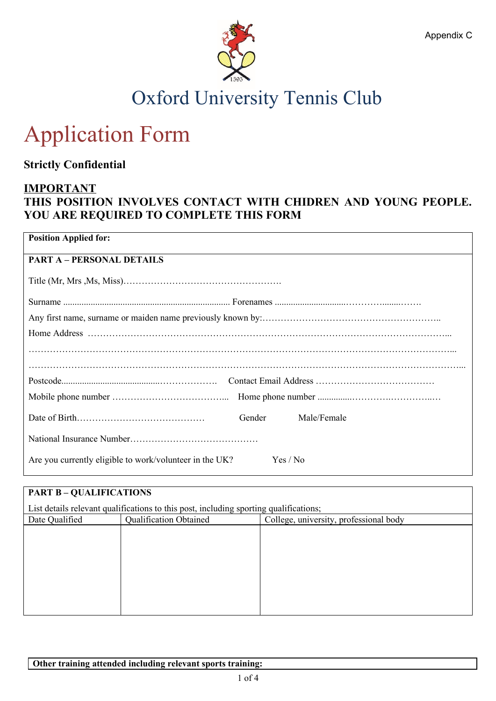

## Oxford University Tennis Club

# Application Form

**Strictly Confidential** 

#### **IMPORTANT**

### **THIS POSITION INVOLVES CONTACT WITH CHIDREN AND YOUNG PEOPLE. YOU ARE REQUIRED TO COMPLETE THIS FORM**

| <b>Position Applied for:</b>                                        |
|---------------------------------------------------------------------|
| <b>PART A - PERSONAL DETAILS</b>                                    |
|                                                                     |
|                                                                     |
|                                                                     |
|                                                                     |
|                                                                     |
|                                                                     |
|                                                                     |
| Gender<br>Male/Female                                               |
|                                                                     |
| Are you currently eligible to work/volunteer in the UK?<br>Yes / No |

| <b>PART B - QUALIFICATIONS</b>                                                        |                               |                                        |  |  |
|---------------------------------------------------------------------------------------|-------------------------------|----------------------------------------|--|--|
| List details relevant qualifications to this post, including sporting qualifications; |                               |                                        |  |  |
| Date Qualified                                                                        | <b>Qualification Obtained</b> | College, university, professional body |  |  |
|                                                                                       |                               |                                        |  |  |
|                                                                                       |                               |                                        |  |  |
|                                                                                       |                               |                                        |  |  |
|                                                                                       |                               |                                        |  |  |
|                                                                                       |                               |                                        |  |  |
|                                                                                       |                               |                                        |  |  |
|                                                                                       |                               |                                        |  |  |
|                                                                                       |                               |                                        |  |  |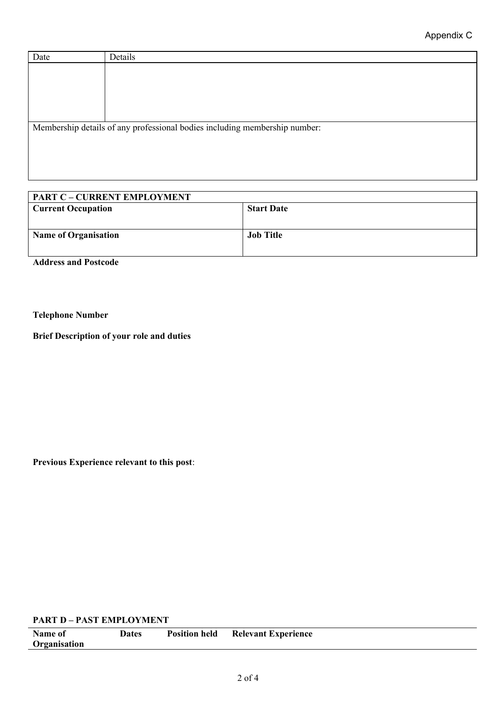| Date | Details                                                                    |
|------|----------------------------------------------------------------------------|
|      |                                                                            |
|      |                                                                            |
|      |                                                                            |
|      |                                                                            |
|      |                                                                            |
|      | Membership details of any professional bodies including membership number: |
|      |                                                                            |
|      |                                                                            |
|      |                                                                            |
|      |                                                                            |

| <b>PART C - CURRENT EMPLOYMENT</b> |                   |
|------------------------------------|-------------------|
| <b>Current Occupation</b>          | <b>Start Date</b> |
|                                    |                   |
|                                    |                   |
| <b>Name of Organisation</b>        | <b>Job Title</b>  |
|                                    |                   |
|                                    |                   |
| <b>Address and Postcode</b>        |                   |

**Telephone Number**

**Brief Description of your role and duties**

**Previous Experience relevant to this post**:

#### **PART D – PAST EMPLOYMENT**

| Name of      | <b>Dates</b> | <b>Position held</b> | <b>Relevant Experience</b> |
|--------------|--------------|----------------------|----------------------------|
| Organisation |              |                      |                            |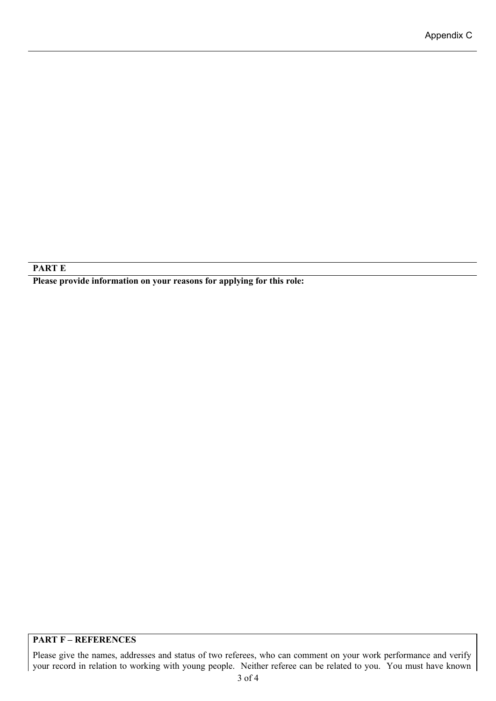#### **PART E**

**Please provide information on your reasons for applying for this role:**

#### **PART F – REFERENCES**

Please give the names, addresses and status of two referees, who can comment on your work performance and verify your record in relation to working with young people. Neither referee can be related to you. You must have known